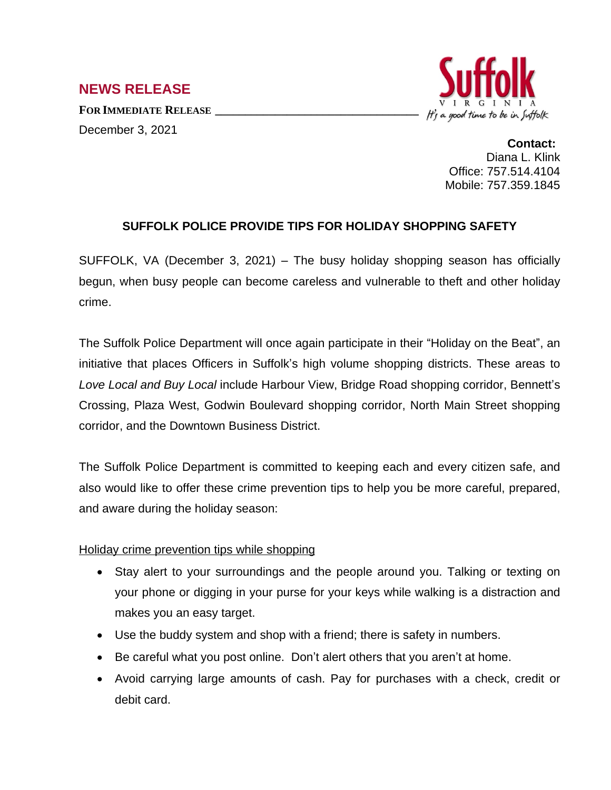# **NEWS RELEASE**

**FOR IMMEDIATE RELEASE \_\_\_\_\_\_\_\_\_\_\_\_\_\_\_\_\_\_\_\_\_\_\_\_\_\_\_\_\_\_\_\_\_\_** December 3, 2021



**Contact:** Diana L. Klink Office: 757.514.4104 Mobile: 757.359.1845

## **SUFFOLK POLICE PROVIDE TIPS FOR HOLIDAY SHOPPING SAFETY**

SUFFOLK, VA (December 3, 2021) – The busy holiday shopping season has officially begun, when busy people can become careless and vulnerable to theft and other holiday crime.

The Suffolk Police Department will once again participate in their "Holiday on the Beat", an initiative that places Officers in Suffolk's high volume shopping districts. These areas to *Love Local and Buy Local* include Harbour View, Bridge Road shopping corridor, Bennett's Crossing, Plaza West, Godwin Boulevard shopping corridor, North Main Street shopping corridor, and the Downtown Business District.

The Suffolk Police Department is committed to keeping each and every citizen safe, and also would like to offer these crime prevention tips to help you be more careful, prepared, and aware during the holiday season:

### Holiday crime prevention tips while shopping

- Stay alert to your surroundings and the people around you. Talking or texting on your phone or digging in your purse for your keys while walking is a distraction and makes you an easy target.
- Use the buddy system and shop with a friend; there is safety in numbers.
- Be careful what you post online. Don't alert others that you aren't at home.
- Avoid carrying large amounts of cash. Pay for purchases with a check, credit or debit card.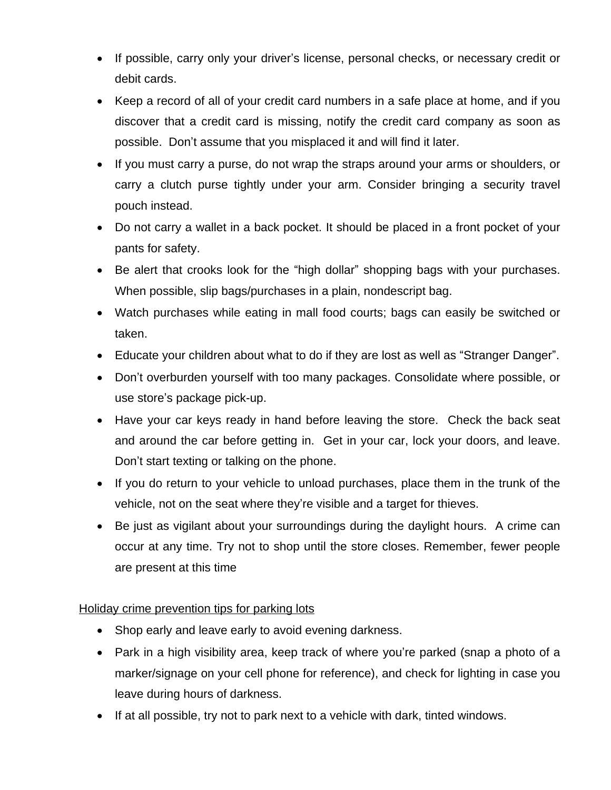- If possible, carry only your driver's license, personal checks, or necessary credit or debit cards.
- Keep a record of all of your credit card numbers in a safe place at home, and if you discover that a credit card is missing, notify the credit card company as soon as possible. Don't assume that you misplaced it and will find it later.
- If you must carry a purse, do not wrap the straps around your arms or shoulders, or carry a clutch purse tightly under your arm. Consider bringing a security travel pouch instead.
- Do not carry a wallet in a back pocket. It should be placed in a front pocket of your pants for safety.
- Be alert that crooks look for the "high dollar" shopping bags with your purchases. When possible, slip bags/purchases in a plain, nondescript bag.
- Watch purchases while eating in mall food courts; bags can easily be switched or taken.
- Educate your children about what to do if they are lost as well as "Stranger Danger".
- Don't overburden yourself with too many packages. Consolidate where possible, or use store's package pick-up.
- Have your car keys ready in hand before leaving the store. Check the back seat and around the car before getting in. Get in your car, lock your doors, and leave. Don't start texting or talking on the phone.
- If you do return to your vehicle to unload purchases, place them in the trunk of the vehicle, not on the seat where they're visible and a target for thieves.
- Be just as vigilant about your surroundings during the daylight hours. A crime can occur at any time. Try not to shop until the store closes. Remember, fewer people are present at this time

## Holiday crime prevention tips for parking lots

- Shop early and leave early to avoid evening darkness.
- Park in a high visibility area, keep track of where you're parked (snap a photo of a marker/signage on your cell phone for reference), and check for lighting in case you leave during hours of darkness.
- If at all possible, try not to park next to a vehicle with dark, tinted windows.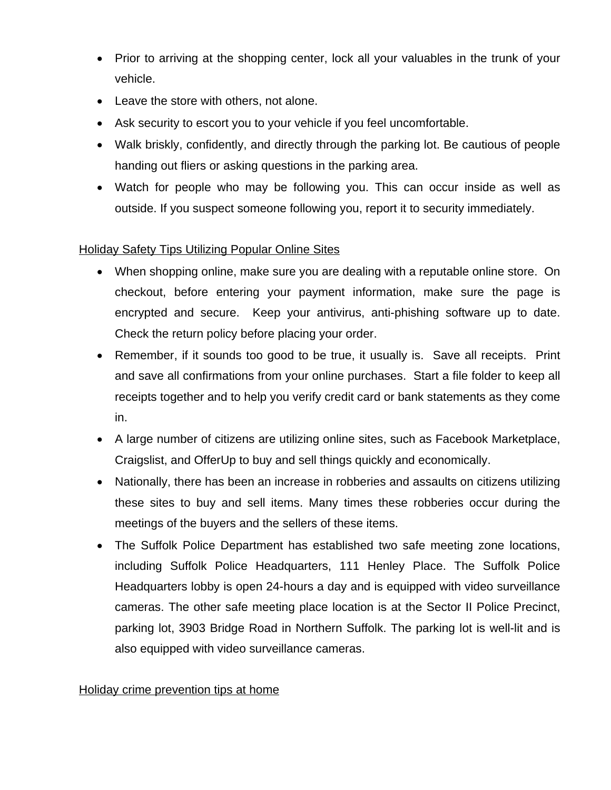- Prior to arriving at the shopping center, lock all your valuables in the trunk of your vehicle.
- Leave the store with others, not alone.
- Ask security to escort you to your vehicle if you feel uncomfortable.
- Walk briskly, confidently, and directly through the parking lot. Be cautious of people handing out fliers or asking questions in the parking area.
- Watch for people who may be following you. This can occur inside as well as outside. If you suspect someone following you, report it to security immediately.

## Holiday Safety Tips Utilizing Popular Online Sites

- When shopping online, make sure you are dealing with a reputable online store. On checkout, before entering your payment information, make sure the page is encrypted and secure. Keep your antivirus, anti-phishing software up to date. Check the return policy before placing your order.
- Remember, if it sounds too good to be true, it usually is. Save all receipts. Print and save all confirmations from your online purchases. Start a file folder to keep all receipts together and to help you verify credit card or bank statements as they come in.
- A large number of citizens are utilizing online sites, such as Facebook Marketplace, Craigslist, and OfferUp to buy and sell things quickly and economically.
- Nationally, there has been an increase in robberies and assaults on citizens utilizing these sites to buy and sell items. Many times these robberies occur during the meetings of the buyers and the sellers of these items.
- The Suffolk Police Department has established two safe meeting zone locations, including Suffolk Police Headquarters, 111 Henley Place. The Suffolk Police Headquarters lobby is open 24-hours a day and is equipped with video surveillance cameras. The other safe meeting place location is at the Sector II Police Precinct, parking lot, 3903 Bridge Road in Northern Suffolk. The parking lot is well-lit and is also equipped with video surveillance cameras.

### Holiday crime prevention tips at home